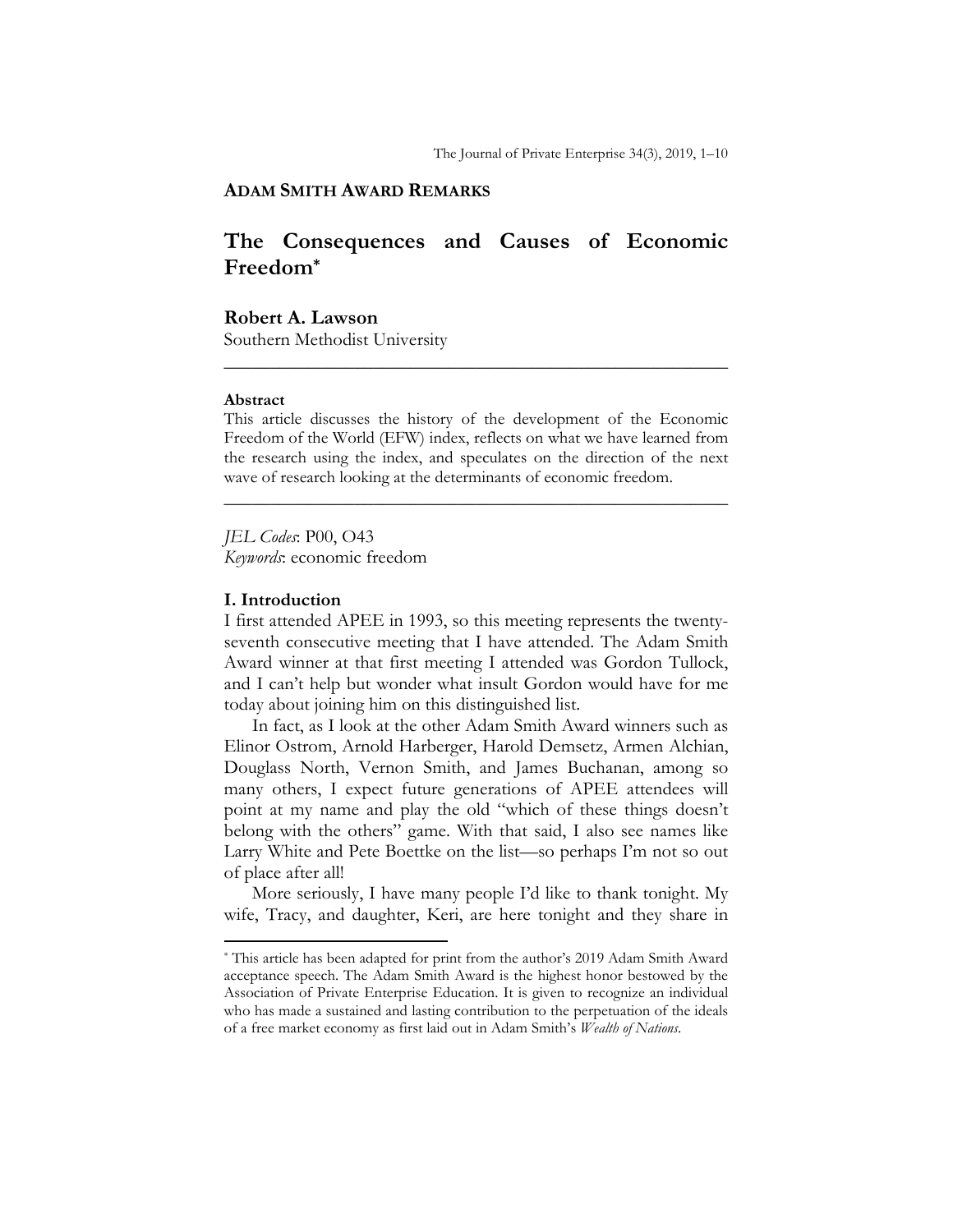## **ADAM SMITH AWARD REMARKS**

# **The Consequences and Causes of Economic Freedom\***

### **Robert A. Lawson**

Southern Methodist University

#### **Abstract**

This article discusses the history of the development of the Economic Freedom of the World (EFW) index, reflects on what we have learned from the research using the index, and speculates on the direction of the next wave of research looking at the determinants of economic freedom.

**\_\_\_\_\_\_\_\_\_\_\_\_\_\_\_\_\_\_\_\_\_\_\_\_\_\_\_\_\_\_\_\_\_\_\_\_\_\_\_\_\_\_\_\_\_\_\_\_\_\_\_\_\_\_** 

**\_\_\_\_\_\_\_\_\_\_\_\_\_\_\_\_\_\_\_\_\_\_\_\_\_\_\_\_\_\_\_\_\_\_\_\_\_\_\_\_\_\_\_\_\_\_\_\_\_\_\_\_\_\_** 

*JEL Codes*: P00, O43 *Keywords*: economic freedom

#### **I. Introduction**

l

I first attended APEE in 1993, so this meeting represents the twentyseventh consecutive meeting that I have attended. The Adam Smith Award winner at that first meeting I attended was Gordon Tullock, and I can't help but wonder what insult Gordon would have for me today about joining him on this distinguished list.

In fact, as I look at the other Adam Smith Award winners such as Elinor Ostrom, Arnold Harberger, Harold Demsetz, Armen Alchian, Douglass North, Vernon Smith, and James Buchanan, among so many others, I expect future generations of APEE attendees will point at my name and play the old "which of these things doesn't belong with the others" game. With that said, I also see names like Larry White and Pete Boettke on the list—so perhaps I'm not so out of place after all!

More seriously, I have many people I'd like to thank tonight. My wife, Tracy, and daughter, Keri, are here tonight and they share in

<sup>\*</sup> This article has been adapted for print from the author's 2019 Adam Smith Award acceptance speech. The Adam Smith Award is the highest honor bestowed by the Association of Private Enterprise Education. It is given to recognize an individual who has made a sustained and lasting contribution to the perpetuation of the ideals of a free market economy as first laid out in Adam Smith's *Wealth of Nations*.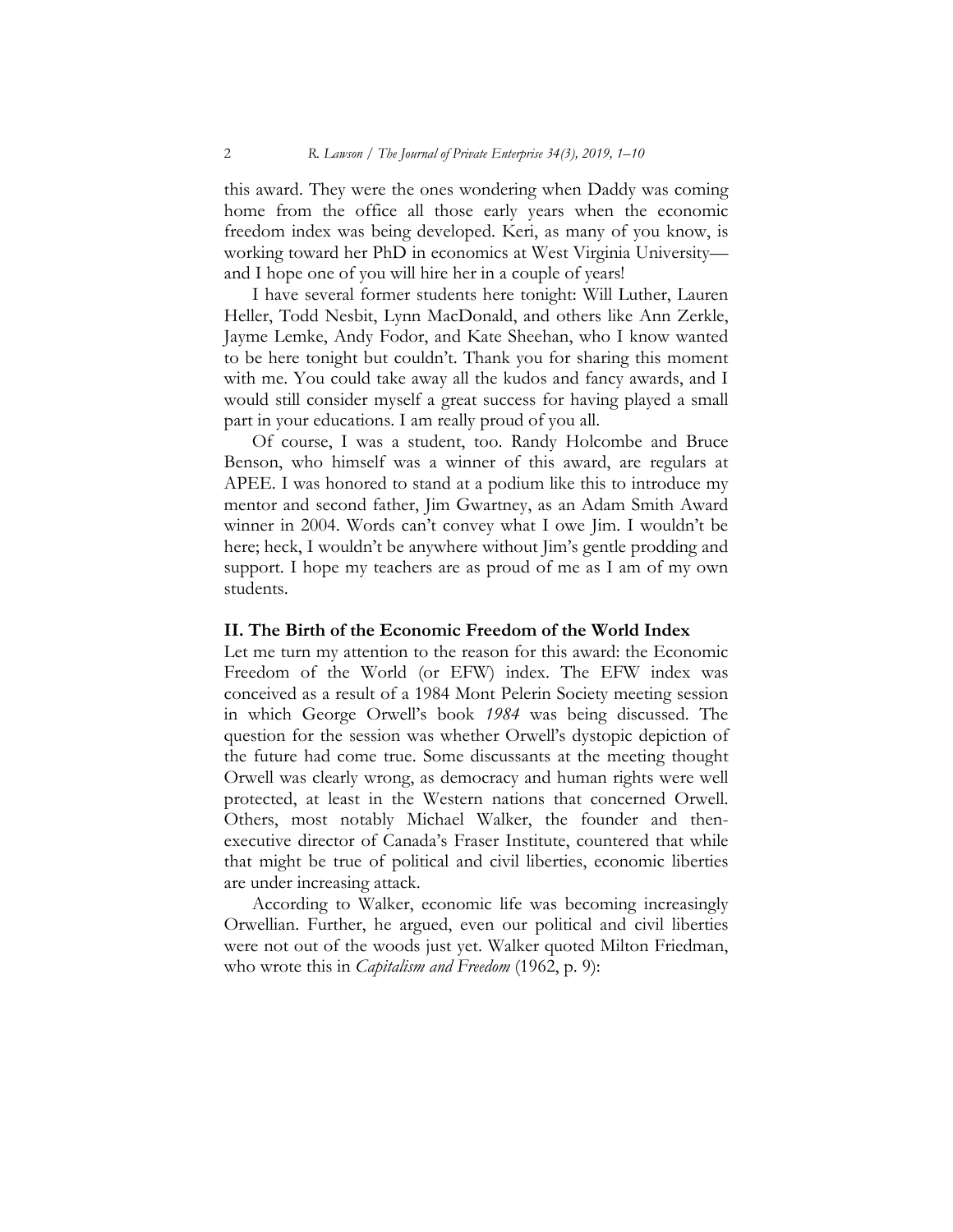this award. They were the ones wondering when Daddy was coming home from the office all those early years when the economic freedom index was being developed. Keri, as many of you know, is working toward her PhD in economics at West Virginia University and I hope one of you will hire her in a couple of years!

I have several former students here tonight: Will Luther, Lauren Heller, Todd Nesbit, Lynn MacDonald, and others like Ann Zerkle, Jayme Lemke, Andy Fodor, and Kate Sheehan, who I know wanted to be here tonight but couldn't. Thank you for sharing this moment with me. You could take away all the kudos and fancy awards, and I would still consider myself a great success for having played a small part in your educations. I am really proud of you all.

Of course, I was a student, too. Randy Holcombe and Bruce Benson, who himself was a winner of this award, are regulars at APEE. I was honored to stand at a podium like this to introduce my mentor and second father, Jim Gwartney, as an Adam Smith Award winner in 2004. Words can't convey what I owe Jim. I wouldn't be here; heck, I wouldn't be anywhere without Jim's gentle prodding and support. I hope my teachers are as proud of me as I am of my own students.

#### **II. The Birth of the Economic Freedom of the World Index**

Let me turn my attention to the reason for this award: the Economic Freedom of the World (or EFW) index. The EFW index was conceived as a result of a 1984 Mont Pelerin Society meeting session in which George Orwell's book *1984* was being discussed. The question for the session was whether Orwell's dystopic depiction of the future had come true. Some discussants at the meeting thought Orwell was clearly wrong, as democracy and human rights were well protected, at least in the Western nations that concerned Orwell. Others, most notably Michael Walker, the founder and thenexecutive director of Canada's Fraser Institute, countered that while that might be true of political and civil liberties, economic liberties are under increasing attack.

According to Walker, economic life was becoming increasingly Orwellian. Further, he argued, even our political and civil liberties were not out of the woods just yet. Walker quoted Milton Friedman, who wrote this in *Capitalism and Freedom* (1962, p. 9):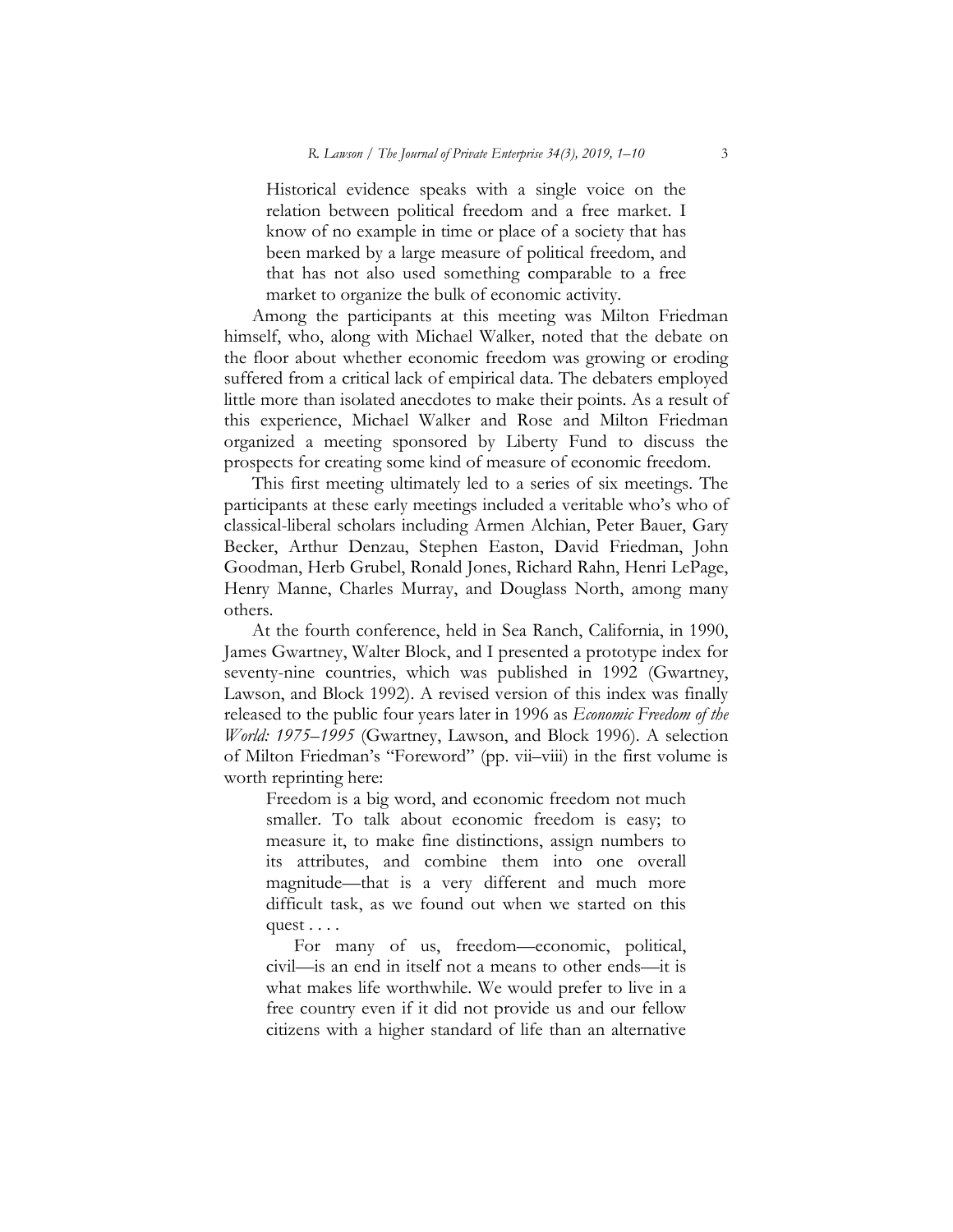Historical evidence speaks with a single voice on the relation between political freedom and a free market. I know of no example in time or place of a society that has been marked by a large measure of political freedom, and that has not also used something comparable to a free market to organize the bulk of economic activity.

Among the participants at this meeting was Milton Friedman himself, who, along with Michael Walker, noted that the debate on the floor about whether economic freedom was growing or eroding suffered from a critical lack of empirical data. The debaters employed little more than isolated anecdotes to make their points. As a result of this experience, Michael Walker and Rose and Milton Friedman organized a meeting sponsored by Liberty Fund to discuss the prospects for creating some kind of measure of economic freedom.

This first meeting ultimately led to a series of six meetings. The participants at these early meetings included a veritable who's who of classical-liberal scholars including Armen Alchian, Peter Bauer, Gary Becker, Arthur Denzau, Stephen Easton, David Friedman, John Goodman, Herb Grubel, Ronald Jones, Richard Rahn, Henri LePage, Henry Manne, Charles Murray, and Douglass North, among many others.

At the fourth conference, held in Sea Ranch, California, in 1990, James Gwartney, Walter Block, and I presented a prototype index for seventy-nine countries, which was published in 1992 (Gwartney, Lawson, and Block 1992). A revised version of this index was finally released to the public four years later in 1996 as *Economic Freedom of the World: 1975–1995* (Gwartney, Lawson, and Block 1996). A selection of Milton Friedman's "Foreword" (pp. vii–viii) in the first volume is worth reprinting here:

Freedom is a big word, and economic freedom not much smaller. To talk about economic freedom is easy; to measure it, to make fine distinctions, assign numbers to its attributes, and combine them into one overall magnitude—that is a very different and much more difficult task, as we found out when we started on this quest . . . .

For many of us, freedom—economic, political, civil—is an end in itself not a means to other ends—it is what makes life worthwhile. We would prefer to live in a free country even if it did not provide us and our fellow citizens with a higher standard of life than an alternative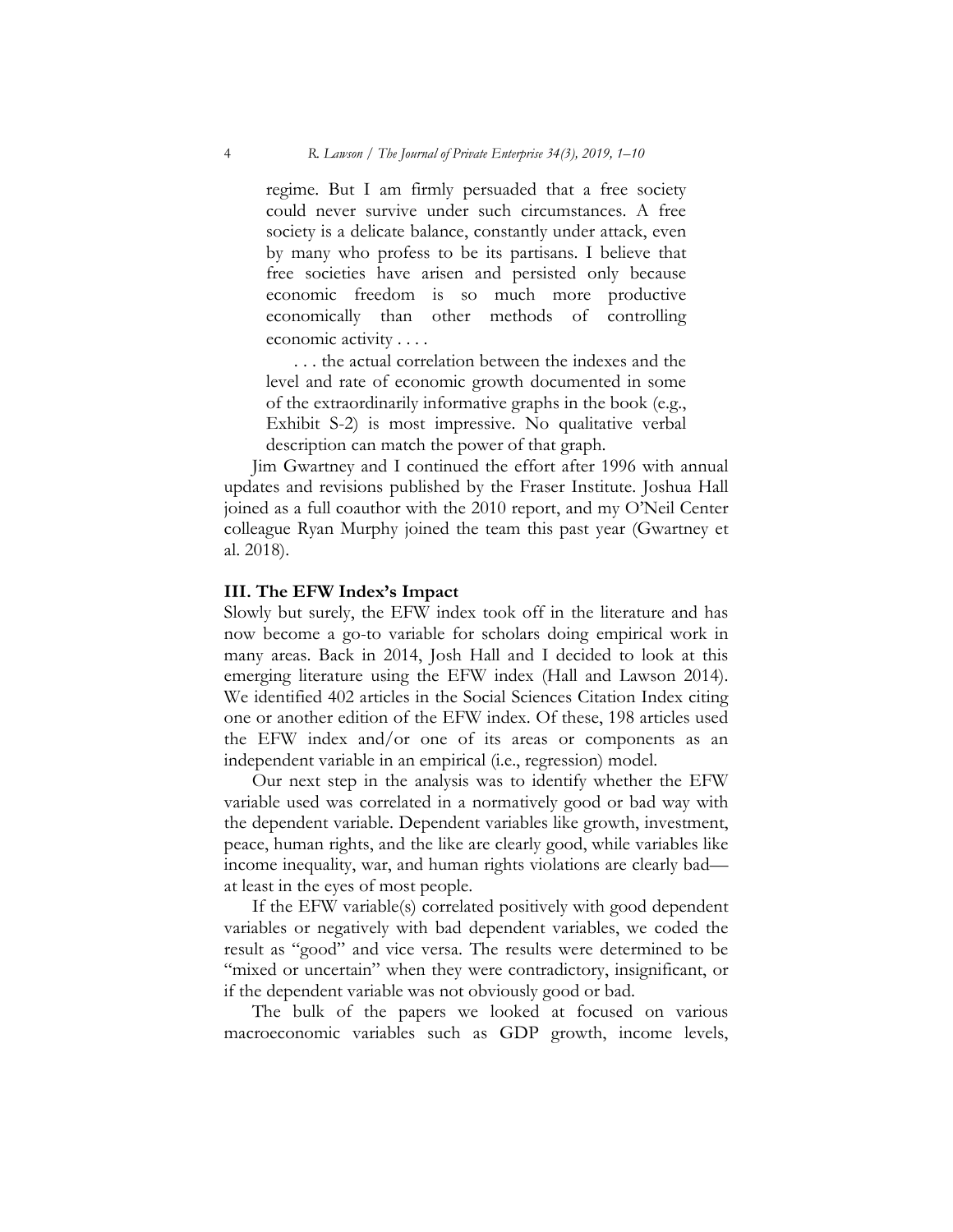regime. But I am firmly persuaded that a free society could never survive under such circumstances. A free society is a delicate balance, constantly under attack, even by many who profess to be its partisans. I believe that free societies have arisen and persisted only because economic freedom is so much more productive economically than other methods of controlling economic activity . . . .

. . . the actual correlation between the indexes and the level and rate of economic growth documented in some of the extraordinarily informative graphs in the book (e.g., Exhibit S-2) is most impressive. No qualitative verbal description can match the power of that graph.

Jim Gwartney and I continued the effort after 1996 with annual updates and revisions published by the Fraser Institute. Joshua Hall joined as a full coauthor with the 2010 report, and my O'Neil Center colleague Ryan Murphy joined the team this past year (Gwartney et al. 2018).

### **III. The EFW Index's Impact**

Slowly but surely, the EFW index took off in the literature and has now become a go-to variable for scholars doing empirical work in many areas. Back in 2014, Josh Hall and I decided to look at this emerging literature using the EFW index (Hall and Lawson 2014). We identified 402 articles in the Social Sciences Citation Index citing one or another edition of the EFW index. Of these, 198 articles used the EFW index and/or one of its areas or components as an independent variable in an empirical (i.e., regression) model.

Our next step in the analysis was to identify whether the EFW variable used was correlated in a normatively good or bad way with the dependent variable. Dependent variables like growth, investment, peace, human rights, and the like are clearly good, while variables like income inequality, war, and human rights violations are clearly bad at least in the eyes of most people.

If the EFW variable(s) correlated positively with good dependent variables or negatively with bad dependent variables, we coded the result as "good" and vice versa. The results were determined to be "mixed or uncertain" when they were contradictory, insignificant, or if the dependent variable was not obviously good or bad.

The bulk of the papers we looked at focused on various macroeconomic variables such as GDP growth, income levels,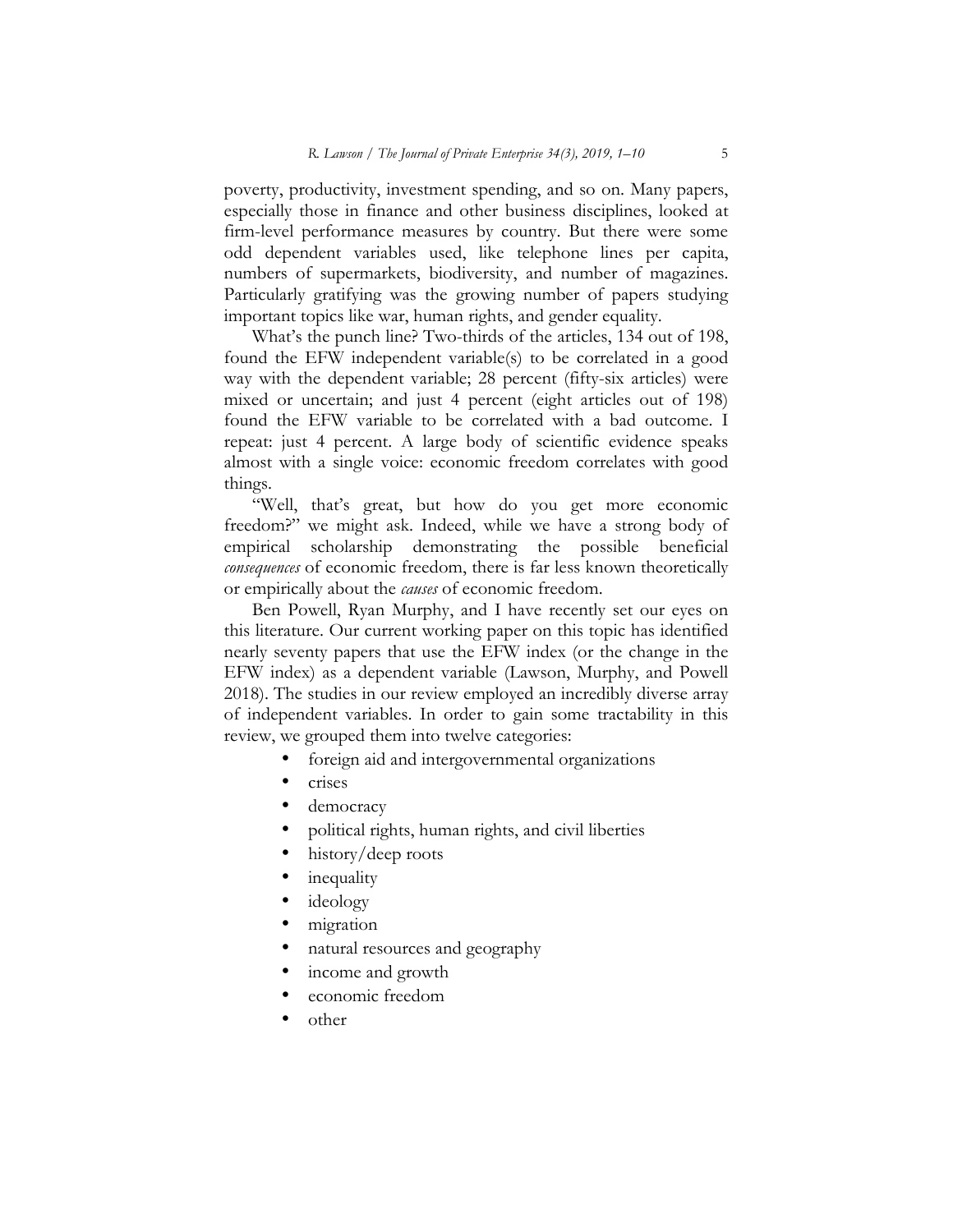poverty, productivity, investment spending, and so on. Many papers, especially those in finance and other business disciplines, looked at firm-level performance measures by country. But there were some odd dependent variables used, like telephone lines per capita, numbers of supermarkets, biodiversity, and number of magazines. Particularly gratifying was the growing number of papers studying important topics like war, human rights, and gender equality.

What's the punch line? Two-thirds of the articles, 134 out of 198, found the EFW independent variable(s) to be correlated in a good way with the dependent variable; 28 percent (fifty-six articles) were mixed or uncertain; and just 4 percent (eight articles out of 198) found the EFW variable to be correlated with a bad outcome. I repeat: just 4 percent. A large body of scientific evidence speaks almost with a single voice: economic freedom correlates with good things.

"Well, that's great, but how do you get more economic freedom?" we might ask. Indeed, while we have a strong body of empirical scholarship demonstrating the possible beneficial *consequences* of economic freedom, there is far less known theoretically or empirically about the *causes* of economic freedom.

Ben Powell, Ryan Murphy, and I have recently set our eyes on this literature. Our current working paper on this topic has identified nearly seventy papers that use the EFW index (or the change in the EFW index) as a dependent variable (Lawson, Murphy, and Powell 2018). The studies in our review employed an incredibly diverse array of independent variables. In order to gain some tractability in this review, we grouped them into twelve categories:

- foreign aid and intergovernmental organizations
- crises
- democracy
- political rights, human rights, and civil liberties
- history/deep roots
- inequality
- ideology
- migration
- natural resources and geography
- income and growth
- economic freedom
- other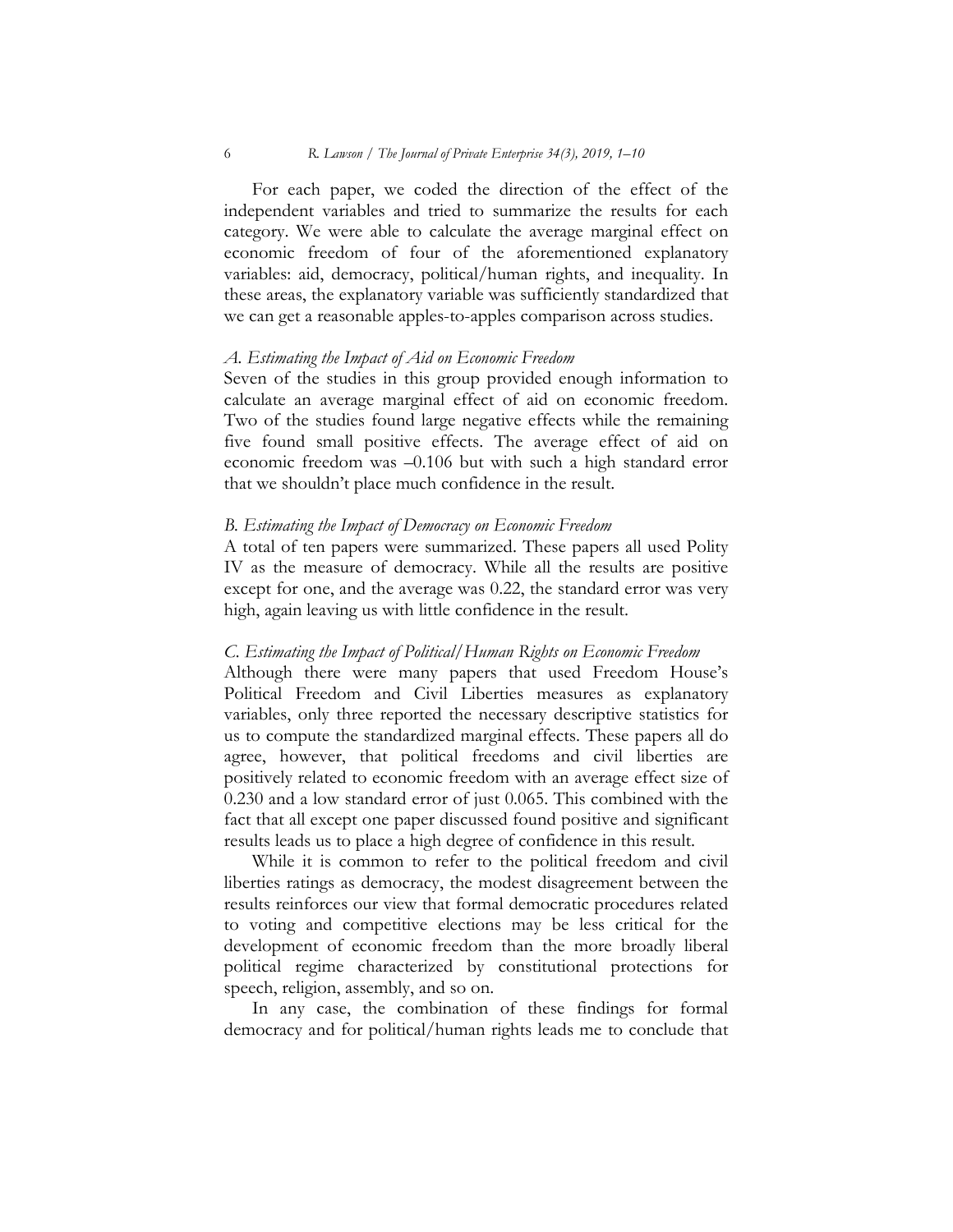For each paper, we coded the direction of the effect of the independent variables and tried to summarize the results for each category. We were able to calculate the average marginal effect on economic freedom of four of the aforementioned explanatory variables: aid, democracy, political/human rights, and inequality. In these areas, the explanatory variable was sufficiently standardized that we can get a reasonable apples-to-apples comparison across studies.

#### *A. Estimating the Impact of Aid on Economic Freedom*

Seven of the studies in this group provided enough information to calculate an average marginal effect of aid on economic freedom. Two of the studies found large negative effects while the remaining five found small positive effects. The average effect of aid on economic freedom was –0.106 but with such a high standard error that we shouldn't place much confidence in the result.

#### *B. Estimating the Impact of Democracy on Economic Freedom*

A total of ten papers were summarized. These papers all used Polity IV as the measure of democracy. While all the results are positive except for one, and the average was 0.22, the standard error was very high, again leaving us with little confidence in the result.

#### *C. Estimating the Impact of Political/Human Rights on Economic Freedom*

Although there were many papers that used Freedom House's Political Freedom and Civil Liberties measures as explanatory variables, only three reported the necessary descriptive statistics for us to compute the standardized marginal effects. These papers all do agree, however, that political freedoms and civil liberties are positively related to economic freedom with an average effect size of 0.230 and a low standard error of just 0.065. This combined with the fact that all except one paper discussed found positive and significant results leads us to place a high degree of confidence in this result.

While it is common to refer to the political freedom and civil liberties ratings as democracy, the modest disagreement between the results reinforces our view that formal democratic procedures related to voting and competitive elections may be less critical for the development of economic freedom than the more broadly liberal political regime characterized by constitutional protections for speech, religion, assembly, and so on.

In any case, the combination of these findings for formal democracy and for political/human rights leads me to conclude that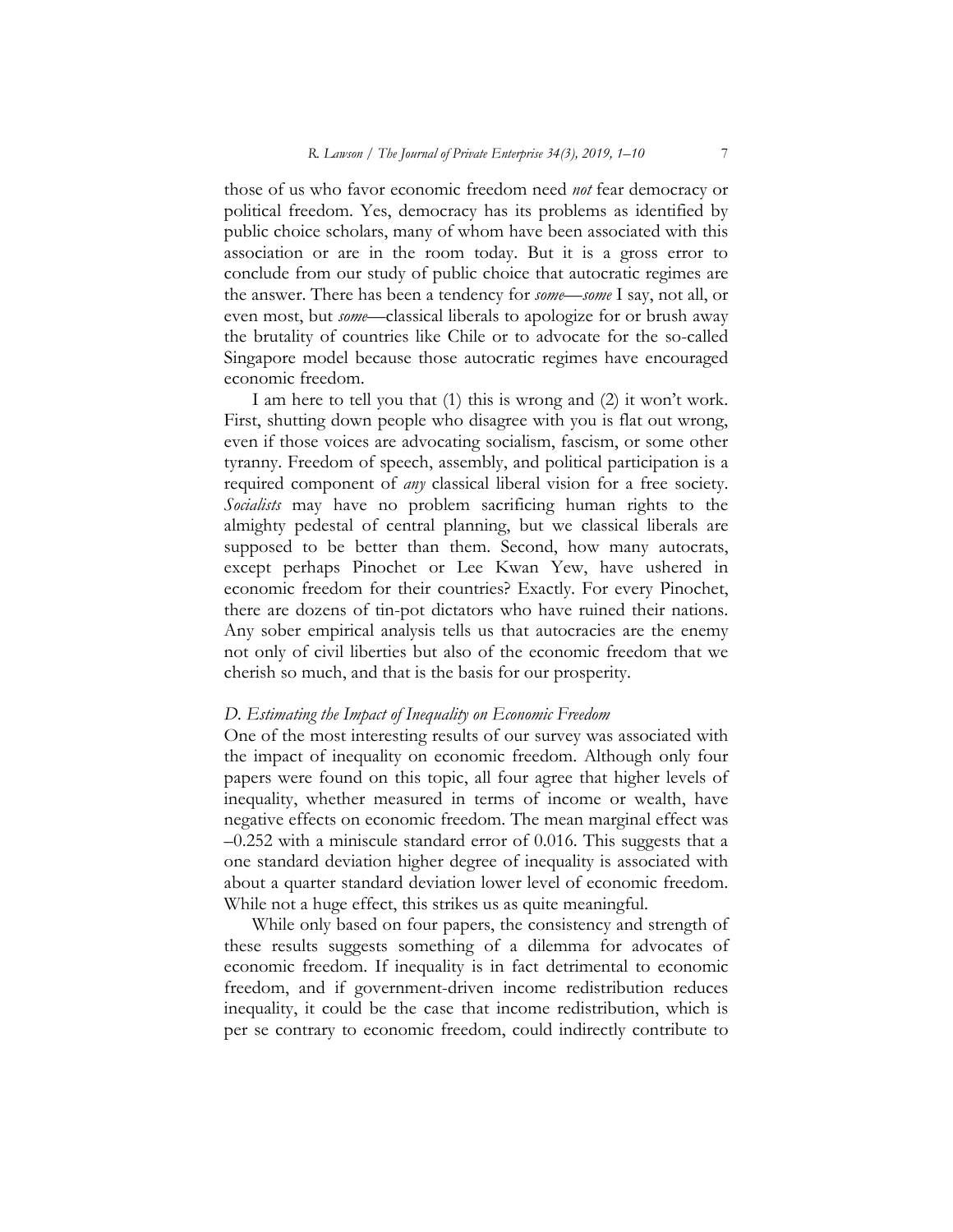those of us who favor economic freedom need *not* fear democracy or political freedom. Yes, democracy has its problems as identified by public choice scholars, many of whom have been associated with this association or are in the room today. But it is a gross error to conclude from our study of public choice that autocratic regimes are the answer. There has been a tendency for *some*—*some* I say, not all, or even most, but *some*—classical liberals to apologize for or brush away the brutality of countries like Chile or to advocate for the so-called Singapore model because those autocratic regimes have encouraged economic freedom.

I am here to tell you that (1) this is wrong and (2) it won't work. First, shutting down people who disagree with you is flat out wrong, even if those voices are advocating socialism, fascism, or some other tyranny. Freedom of speech, assembly, and political participation is a required component of *any* classical liberal vision for a free society. *Socialists* may have no problem sacrificing human rights to the almighty pedestal of central planning, but we classical liberals are supposed to be better than them. Second, how many autocrats, except perhaps Pinochet or Lee Kwan Yew, have ushered in economic freedom for their countries? Exactly. For every Pinochet, there are dozens of tin-pot dictators who have ruined their nations. Any sober empirical analysis tells us that autocracies are the enemy not only of civil liberties but also of the economic freedom that we cherish so much, and that is the basis for our prosperity.

#### *D. Estimating the Impact of Inequality on Economic Freedom*

One of the most interesting results of our survey was associated with the impact of inequality on economic freedom. Although only four papers were found on this topic, all four agree that higher levels of inequality, whether measured in terms of income or wealth, have negative effects on economic freedom. The mean marginal effect was  $-0.252$  with a miniscule standard error of 0.016. This suggests that a one standard deviation higher degree of inequality is associated with about a quarter standard deviation lower level of economic freedom. While not a huge effect, this strikes us as quite meaningful.

While only based on four papers, the consistency and strength of these results suggests something of a dilemma for advocates of economic freedom. If inequality is in fact detrimental to economic freedom, and if government-driven income redistribution reduces inequality, it could be the case that income redistribution, which is per se contrary to economic freedom, could indirectly contribute to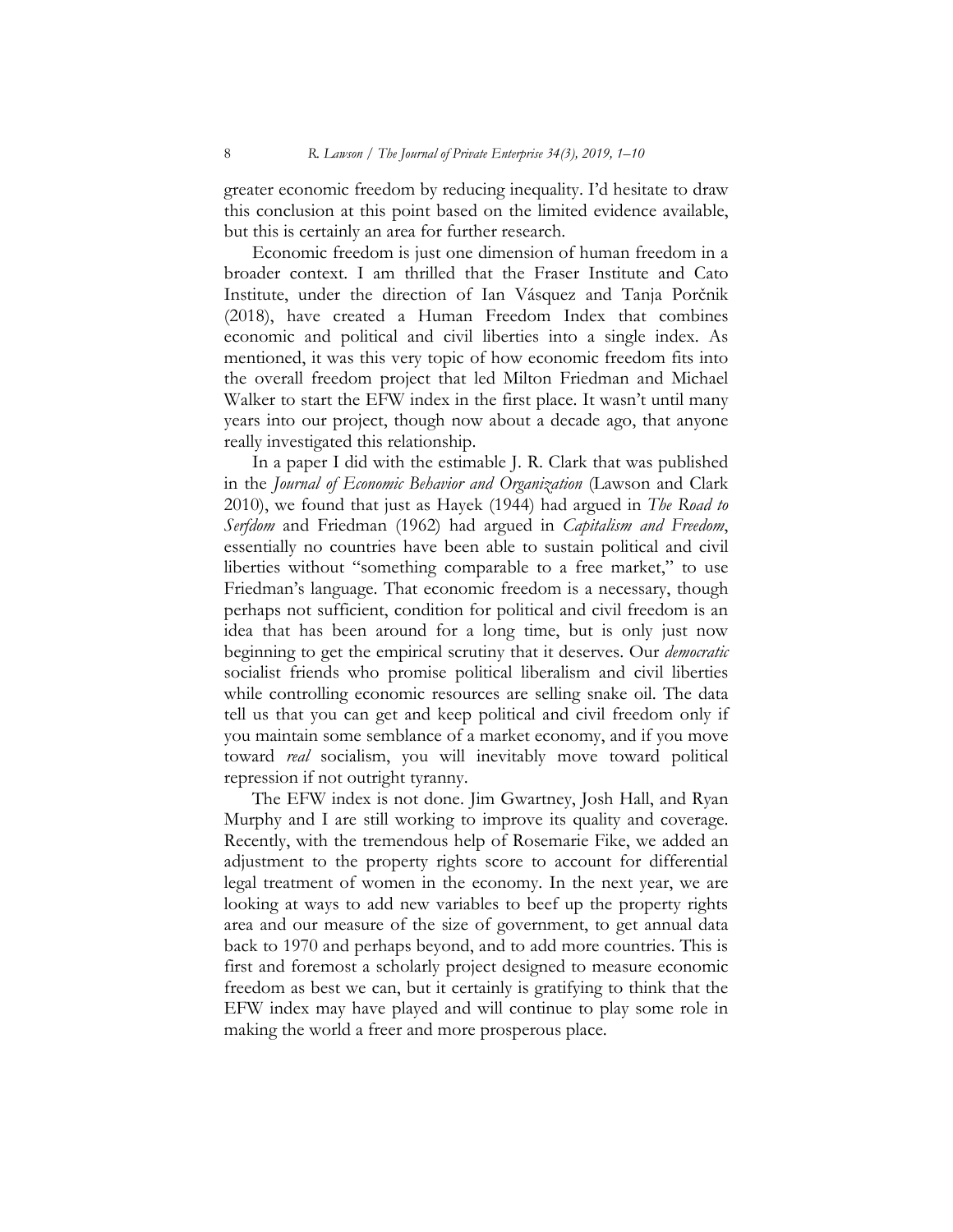greater economic freedom by reducing inequality. I'd hesitate to draw this conclusion at this point based on the limited evidence available, but this is certainly an area for further research.

Economic freedom is just one dimension of human freedom in a broader context. I am thrilled that the Fraser Institute and Cato Institute, under the direction of Ian Vásquez and Tanja Porčnik (2018), have created a Human Freedom Index that combines economic and political and civil liberties into a single index. As mentioned, it was this very topic of how economic freedom fits into the overall freedom project that led Milton Friedman and Michael Walker to start the EFW index in the first place. It wasn't until many years into our project, though now about a decade ago, that anyone really investigated this relationship.

In a paper I did with the estimable J. R. Clark that was published in the *Journal of Economic Behavior and Organization* (Lawson and Clark 2010), we found that just as Hayek (1944) had argued in *The Road to Serfdom* and Friedman (1962) had argued in *Capitalism and Freedom*, essentially no countries have been able to sustain political and civil liberties without "something comparable to a free market," to use Friedman's language. That economic freedom is a necessary, though perhaps not sufficient, condition for political and civil freedom is an idea that has been around for a long time, but is only just now beginning to get the empirical scrutiny that it deserves. Our *democratic* socialist friends who promise political liberalism and civil liberties while controlling economic resources are selling snake oil. The data tell us that you can get and keep political and civil freedom only if you maintain some semblance of a market economy, and if you move toward *real* socialism, you will inevitably move toward political repression if not outright tyranny.

The EFW index is not done. Jim Gwartney, Josh Hall, and Ryan Murphy and I are still working to improve its quality and coverage. Recently, with the tremendous help of Rosemarie Fike, we added an adjustment to the property rights score to account for differential legal treatment of women in the economy. In the next year, we are looking at ways to add new variables to beef up the property rights area and our measure of the size of government, to get annual data back to 1970 and perhaps beyond, and to add more countries. This is first and foremost a scholarly project designed to measure economic freedom as best we can, but it certainly is gratifying to think that the EFW index may have played and will continue to play some role in making the world a freer and more prosperous place.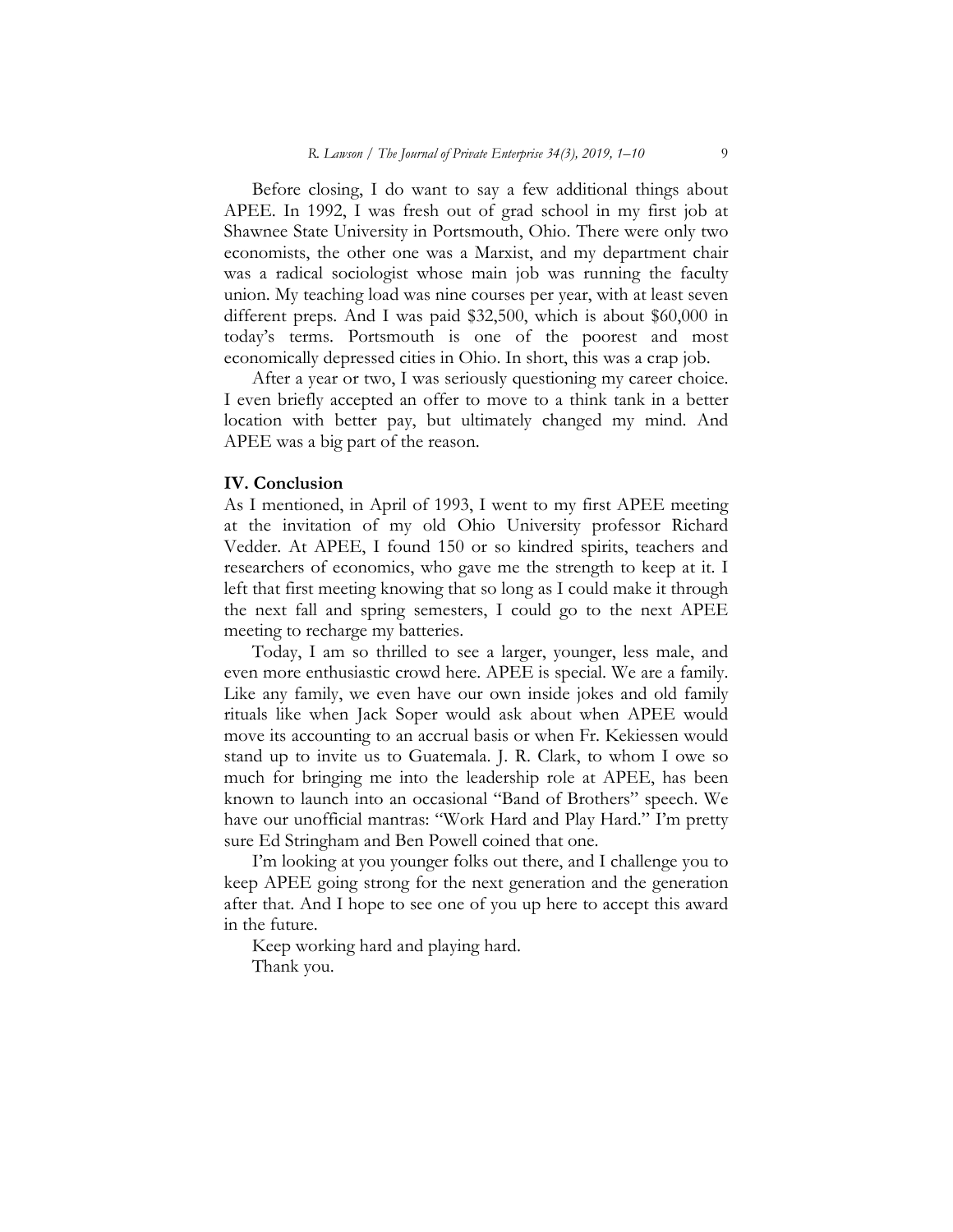Before closing, I do want to say a few additional things about APEE. In 1992, I was fresh out of grad school in my first job at Shawnee State University in Portsmouth, Ohio. There were only two economists, the other one was a Marxist, and my department chair was a radical sociologist whose main job was running the faculty union. My teaching load was nine courses per year, with at least seven different preps. And I was paid \$32,500, which is about \$60,000 in today's terms. Portsmouth is one of the poorest and most economically depressed cities in Ohio. In short, this was a crap job.

After a year or two, I was seriously questioning my career choice. I even briefly accepted an offer to move to a think tank in a better location with better pay, but ultimately changed my mind. And APEE was a big part of the reason.

#### **IV. Conclusion**

As I mentioned, in April of 1993, I went to my first APEE meeting at the invitation of my old Ohio University professor Richard Vedder. At APEE, I found 150 or so kindred spirits, teachers and researchers of economics, who gave me the strength to keep at it. I left that first meeting knowing that so long as I could make it through the next fall and spring semesters, I could go to the next APEE meeting to recharge my batteries.

Today, I am so thrilled to see a larger, younger, less male, and even more enthusiastic crowd here. APEE is special. We are a family. Like any family, we even have our own inside jokes and old family rituals like when Jack Soper would ask about when APEE would move its accounting to an accrual basis or when Fr. Kekiessen would stand up to invite us to Guatemala. J. R. Clark, to whom I owe so much for bringing me into the leadership role at APEE, has been known to launch into an occasional "Band of Brothers" speech. We have our unofficial mantras: "Work Hard and Play Hard." I'm pretty sure Ed Stringham and Ben Powell coined that one.

I'm looking at you younger folks out there, and I challenge you to keep APEE going strong for the next generation and the generation after that. And I hope to see one of you up here to accept this award in the future.

Keep working hard and playing hard.

Thank you.